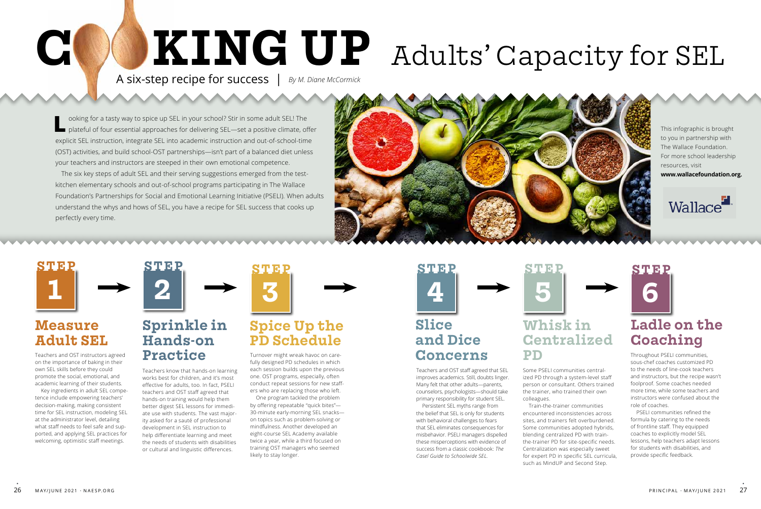**L** ooking for a tasty way to spice up SEL in your school? Stir in some adult SEL! The plateful of four essential approaches for delivering SEL—set a positive climate, offer explicit SEL instruction, integrate SEL into academic instruction and out-of-school-time (OST) activities, and build school-OST partnerships—isn't part of a balanced diet unless your teachers and instructors are steeped in their own emotional competence.

The six key steps of adult SEL and their serving suggestions emerged from the testkitchen elementary schools and out-of-school programs participating in The Wallace Foundation's Partnerships for Social and Emotional Learning Initiative (PSELI). When adults understand the whys and hows of SEL, you have a recipe for SEL success that cooks up perfectly every time.



Teachers and OST instructors agreed on the importance of baking in their own SEL skills before they could promote the social, emotional, and academic learning of their students.

Key ingredients in adult SEL competence include empowering teachers' decision-making, making consistent time for SEL instruction, modeling SEL at the administrator level, detailing what staff needs to feel safe and supported, and applying SEL practices for welcoming, optimistic staff meetings.

Turnover might wreak havoc on carefully designed PD schedules in which each session builds upon the previous one. OST programs, especially, often conduct repeat sessions for new staffers who are replacing those who left.

One program tackled the problem by offering repeatable "quick bites"— 30-minute early-morning SEL snacks on topics such as problem-solving or mindfulness. Another developed an eight-course SEL Academy available twice a year, while a third focused on training OST managers who seemed likely to stay longer.

Some PSELI communities centralized PD through a system-level staff person or consultant. Others trained the trainer, who trained their own colleagues.

Train-the-trainer communities encountered inconsistencies across sites, and trainers felt overburdened. Some communities adopted hybrids, blending centralized PD with trainthe-trainer PD for site-specific needs. Centralization was especially sweet for expert PD in specific SEL curricula, such as MindUP and Second Step.

Teachers and OST staff agreed that SEL improves academics. Still, doubts linger. Many felt that other adults—parents, counselors, psychologists—should take primary responsibility for student SEL.

Persistent SEL myths range from the belief that SEL is only for students with behavioral challenges to fears that SEL eliminates consequences for misbehavior. PSELI managers dispelled these misperceptions with evidence of success from a classic cookbook: *The Casel Guide to Schoolwide SEL.*

Throughout PSELI communities, sous-chef coaches customized PD to the needs of line-cook teachers and instructors, but the recipe wasn't foolproof. Some coaches needed more time, while some teachers and instructors were confused about the role of coaches.

PSELI communities refined the formula by catering to the needs of frontline staff. They equipped coaches to explicitly model SEL lessons, help teachers adapt lessons for students with disabilities, and provide specific feedback.

Teachers know that hands-on learning works best for children, and it's most effective for adults, too. In fact, PSELI teachers and OST staff agreed that hands-on training would help them better digest SEL lessons for immediate use with students. The vast majority asked for a sauté of professional development in SEL instruction to help differentiate learning and meet the needs of students with disabilities or cultural and linguistic differences.

# **Measure Adult SEL**

# **Spice Up the PD Schedule**

## **Whisk in Centralized PD**

# **Ladle on the Coaching**



## **Sprinkle in Hands-on Practice**





# **5 STEP**





# **C KING UP** Adults' Capacity for SEL A six-step recipe for success | *By M. Diane McCormick*

This infographic is brought to you in partnership with The Wallace Foundation. For more school leadership resources, visit

**www.wallacefoundation.org.**